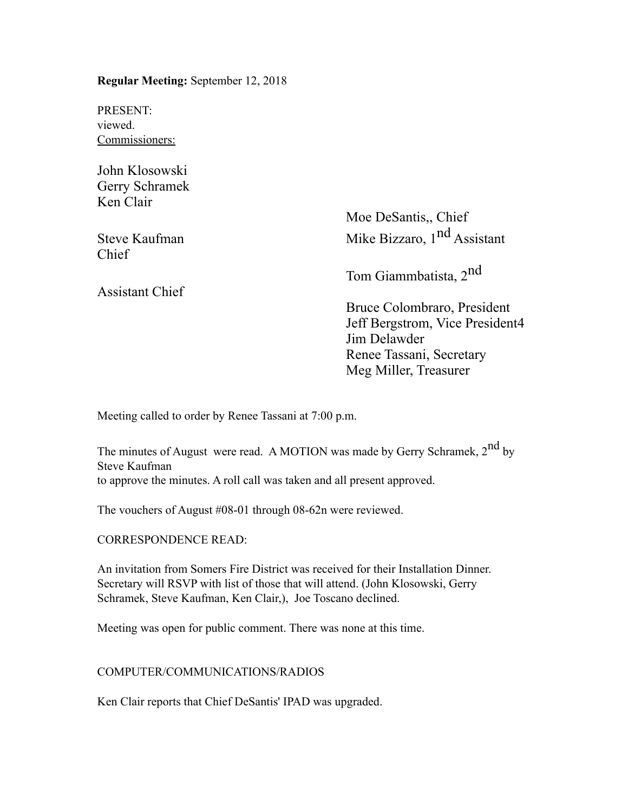**Regular Meeting:** September 12, 2018

PRESENT: viewed. Commissioners:

John Klosowski Gerry Schramek Ken Clair

Chief

Assistant Chief

Moe DeSantis,, Chief Steve Kaufman Mike Bizzaro, 1<sup>nd</sup> Assistant

Tom Giammbatista, 2nd

Bruce Colombraro, President Jeff Bergstrom, Vice President4 Jim Delawder Renee Tassani, Secretary Meg Miller, Treasurer

Meeting called to order by Renee Tassani at 7:00 p.m.

The minutes of August were read. A MOTION was made by Gerry Schramek, 2<sup>nd</sup> by Steve Kaufman to approve the minutes. A roll call was taken and all present approved.

The vouchers of August #08-01 through 08-62n were reviewed.

CORRESPONDENCE READ:

An invitation from Somers Fire District was received for their Installation Dinner. Secretary will RSVP with list of those that will attend. (John Klosowski, Gerry Schramek, Steve Kaufman, Ken Clair,), Joe Toscano declined.

Meeting was open for public comment. There was none at this time.

# COMPUTER/COMMUNICATIONS/RADIOS

Ken Clair reports that Chief DeSantis' IPAD was upgraded.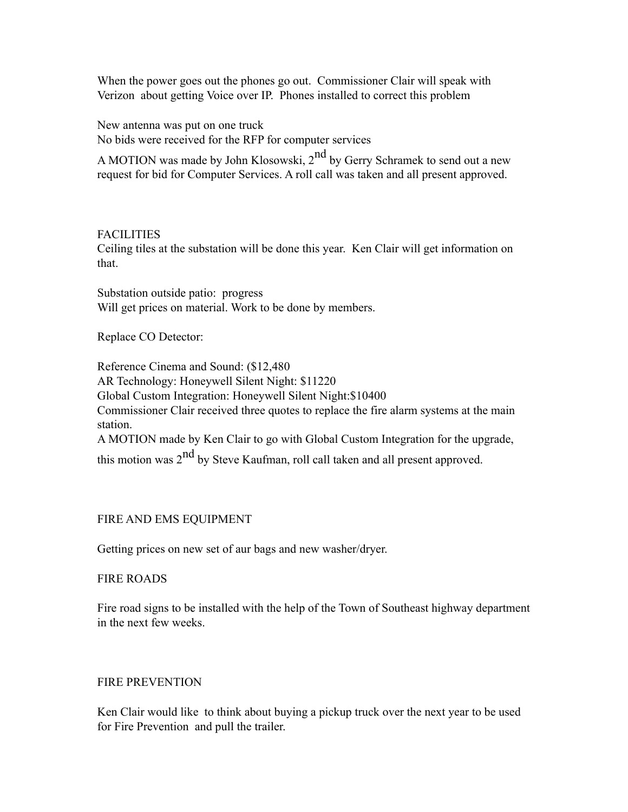When the power goes out the phones go out. Commissioner Clair will speak with Verizon about getting Voice over IP. Phones installed to correct this problem

New antenna was put on one truck No bids were received for the RFP for computer services

A MOTION was made by John Klosowski,  $2<sup>nd</sup>$  by Gerry Schramek to send out a new request for bid for Computer Services. A roll call was taken and all present approved.

### FACILITIES

Ceiling tiles at the substation will be done this year. Ken Clair will get information on that.

Substation outside patio: progress Will get prices on material. Work to be done by members.

Replace CO Detector:

Reference Cinema and Sound: (\$12,480 AR Technology: Honeywell Silent Night: \$11220 Global Custom Integration: Honeywell Silent Night:\$10400 Commissioner Clair received three quotes to replace the fire alarm systems at the main station. A MOTION made by Ken Clair to go with Global Custom Integration for the upgrade, this motion was  $2<sup>nd</sup>$  by Steve Kaufman, roll call taken and all present approved.

# FIRE AND EMS EQUIPMENT

Getting prices on new set of aur bags and new washer/dryer.

### FIRE ROADS

Fire road signs to be installed with the help of the Town of Southeast highway department in the next few weeks.

### FIRE PREVENTION

Ken Clair would like to think about buying a pickup truck over the next year to be used for Fire Prevention and pull the trailer.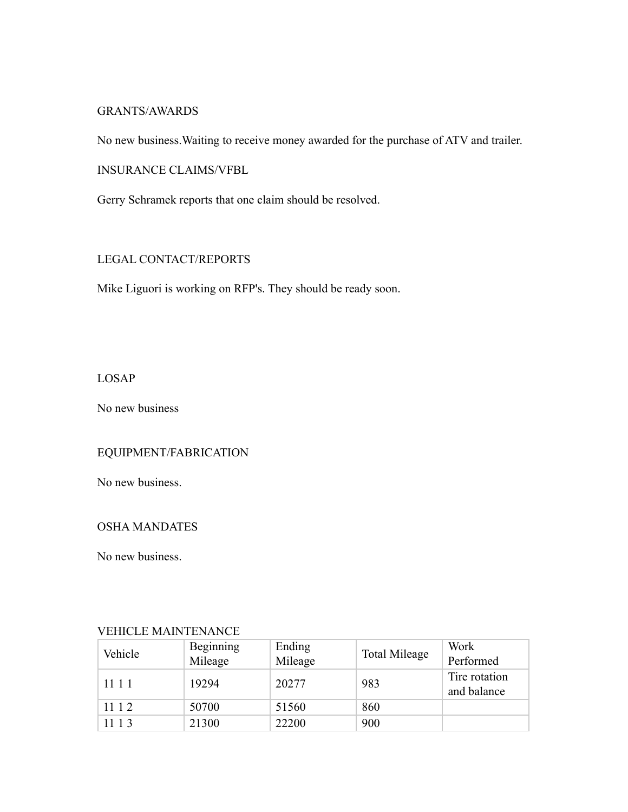### GRANTS/AWARDS

No new business.Waiting to receive money awarded for the purchase of ATV and trailer.

INSURANCE CLAIMS/VFBL

Gerry Schramek reports that one claim should be resolved.

### LEGAL CONTACT/REPORTS

Mike Liguori is working on RFP's. They should be ready soon.

LOSAP

No new business

# EQUIPMENT/FABRICATION

No new business.

### OSHA MANDATES

No new business.

| Vehicle | Beginning<br>Mileage | Ending<br>Mileage | <b>Total Mileage</b> | Work<br>Performed            |  |  |  |
|---------|----------------------|-------------------|----------------------|------------------------------|--|--|--|
| 1111    | 19294                | 20277             | 983                  | Tire rotation<br>and balance |  |  |  |
| 11 1 2  | 50700                | 51560             | 860                  |                              |  |  |  |
| 11 1 3  | 21300                | 22200             | 900                  |                              |  |  |  |

# VEHICLE MAINTENANCE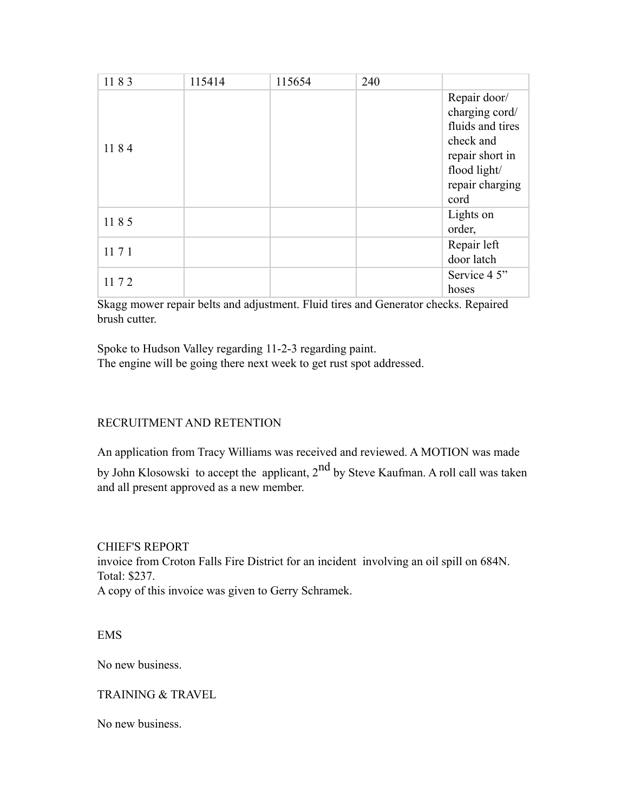| 1183 | 115414 | 115654 | 240 |                                                                                                                               |
|------|--------|--------|-----|-------------------------------------------------------------------------------------------------------------------------------|
| 1184 |        |        |     | Repair door/<br>charging cord/<br>fluids and tires<br>check and<br>repair short in<br>flood light/<br>repair charging<br>cord |
| 1185 |        |        |     | Lights on<br>order,                                                                                                           |
| 1171 |        |        |     | Repair left<br>door latch                                                                                                     |
| 1172 |        |        |     | Service 4 5"<br>hoses                                                                                                         |

Skagg mower repair belts and adjustment. Fluid tires and Generator checks. Repaired brush cutter.

Spoke to Hudson Valley regarding 11-2-3 regarding paint. The engine will be going there next week to get rust spot addressed.

# RECRUITMENT AND RETENTION

An application from Tracy Williams was received and reviewed. A MOTION was made by John Klosowski to accept the applicant, 2<sup>nd</sup> by Steve Kaufman. A roll call was taken and all present approved as a new member.

CHIEF'S REPORT invoice from Croton Falls Fire District for an incident involving an oil spill on 684N. Total: \$237. A copy of this invoice was given to Gerry Schramek.

EMS

No new business.

### TRAINING & TRAVEL

No new business.